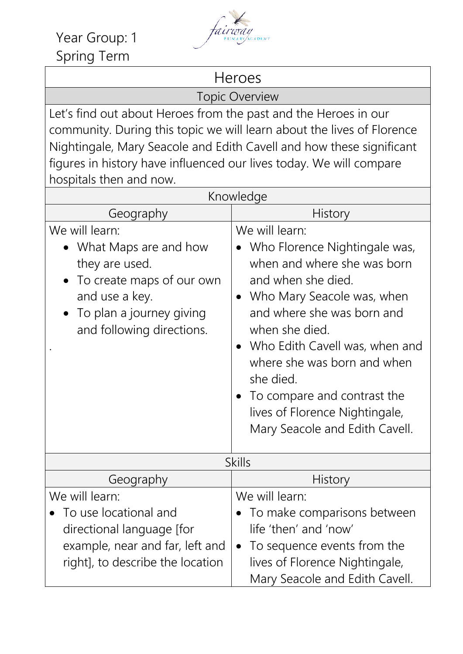Year Group: 1 fairway Spring Term



Heroes

Topic Overview

Let's find out about Heroes from the past and the Heroes in our community. During this topic we will learn about the lives of Florence Nightingale, Mary Seacole and Edith Cavell and how these significant figures in history have influenced our lives today. We will compare hospitals then and now.

| Knowledge                                                                                                                                                         |                                                                                                                                                                                                                                                                                                                                                                                               |
|-------------------------------------------------------------------------------------------------------------------------------------------------------------------|-----------------------------------------------------------------------------------------------------------------------------------------------------------------------------------------------------------------------------------------------------------------------------------------------------------------------------------------------------------------------------------------------|
| Geography                                                                                                                                                         | <b>History</b>                                                                                                                                                                                                                                                                                                                                                                                |
| We will learn:<br>What Maps are and how<br>they are used.<br>To create maps of our own<br>and use a key.<br>To plan a journey giving<br>and following directions. | We will learn:<br>Who Florence Nightingale was,<br>when and where she was born<br>and when she died.<br>Who Mary Seacole was, when<br>$\bullet$<br>and where she was born and<br>when she died.<br>Who Edith Cavell was, when and<br>where she was born and when<br>she died.<br>To compare and contrast the<br>$\bullet$<br>lives of Florence Nightingale,<br>Mary Seacole and Edith Cavell. |
| <b>Skills</b>                                                                                                                                                     |                                                                                                                                                                                                                                                                                                                                                                                               |
| Geography                                                                                                                                                         | <b>History</b>                                                                                                                                                                                                                                                                                                                                                                                |
| We will learn:<br>To use locational and<br>directional language [for<br>example, near and far, left and<br>right], to describe the location                       | We will learn:<br>To make comparisons between<br>life 'then' and 'now'<br>To sequence events from the<br>$\bullet$<br>lives of Florence Nightingale,<br>Mary Seacole and Edith Cavell.                                                                                                                                                                                                        |